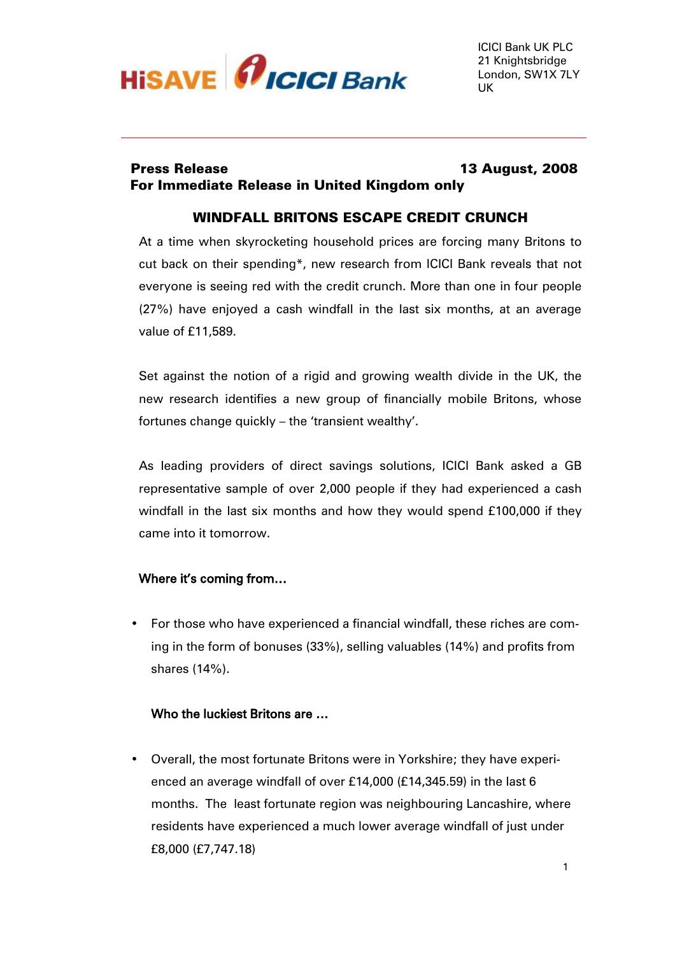

# Press Release 13 August, 2008 For Immediate Release in United Kingdom only

# WINDFALL BRITONS ESCAPE CREDIT CRUNCH

At a time when skyrocketing household prices are forcing many Britons to cut back on their spending\*, new research from ICICI Bank reveals that not everyone is seeing red with the credit crunch. More than one in four people (27%) have enjoyed a cash windfall in the last six months, at an average value of £11,589.

Set against the notion of a rigid and growing wealth divide in the UK, the new research identifies a new group of financially mobile Britons, whose fortunes change quickly – the 'transient wealthy'.

As leading providers of direct savings solutions, ICICI Bank asked a GB representative sample of over 2,000 people if they had experienced a cash windfall in the last six months and how they would spend £100,000 if they came into it tomorrow.

## Where it's coming from…

• For those who have experienced a financial windfall, these riches are coming in the form of bonuses (33%), selling valuables (14%) and profits from shares (14%).

## Who the luckiest Britons are …

• Overall, the most fortunate Britons were in Yorkshire; they have experienced an average windfall of over £14,000 (£14,345.59) in the last 6 months. The least fortunate region was neighbouring Lancashire, where residents have experienced a much lower average windfall of just under £8,000 (£7,747.18)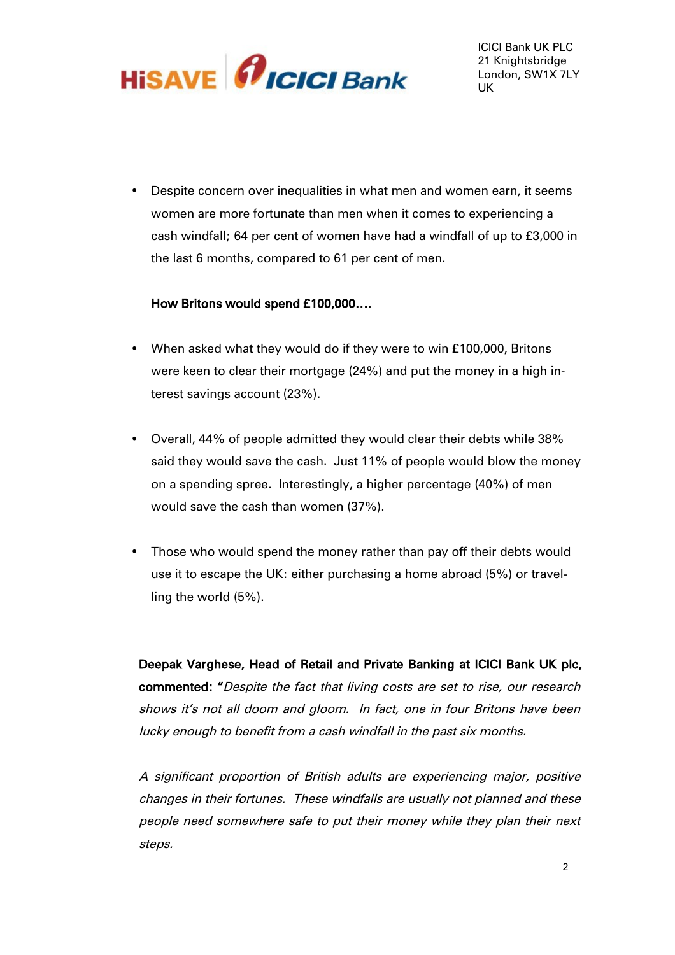

• Despite concern over inequalities in what men and women earn, it seems women are more fortunate than men when it comes to experiencing a cash windfall; 64 per cent of women have had a windfall of up to £3,000 in the last 6 months, compared to 61 per cent of men.

## How Britons would spend £100,000….

- When asked what they would do if they were to win £100,000, Britons were keen to clear their mortgage (24%) and put the money in a high interest savings account (23%).
- Overall, 44% of people admitted they would clear their debts while 38% said they would save the cash. Just 11% of people would blow the money on a spending spree. Interestingly, a higher percentage (40%) of men would save the cash than women (37%).
- Those who would spend the money rather than pay off their debts would use it to escape the UK: either purchasing a home abroad (5%) or travelling the world (5%).

Deepak Varghese, Head of Retail and Private Banking at ICICI Bank UK plc, commented: "Despite the fact that living costs are set to rise, our research shows it's not all doom and gloom. In fact, one in four Britons have been lucky enough to benefit from a cash windfall in the past six months.

A significant proportion of British adults are experiencing major, positive changes in their fortunes. These windfalls are usually not planned and these people need somewhere safe to put their money while they plan their next steps.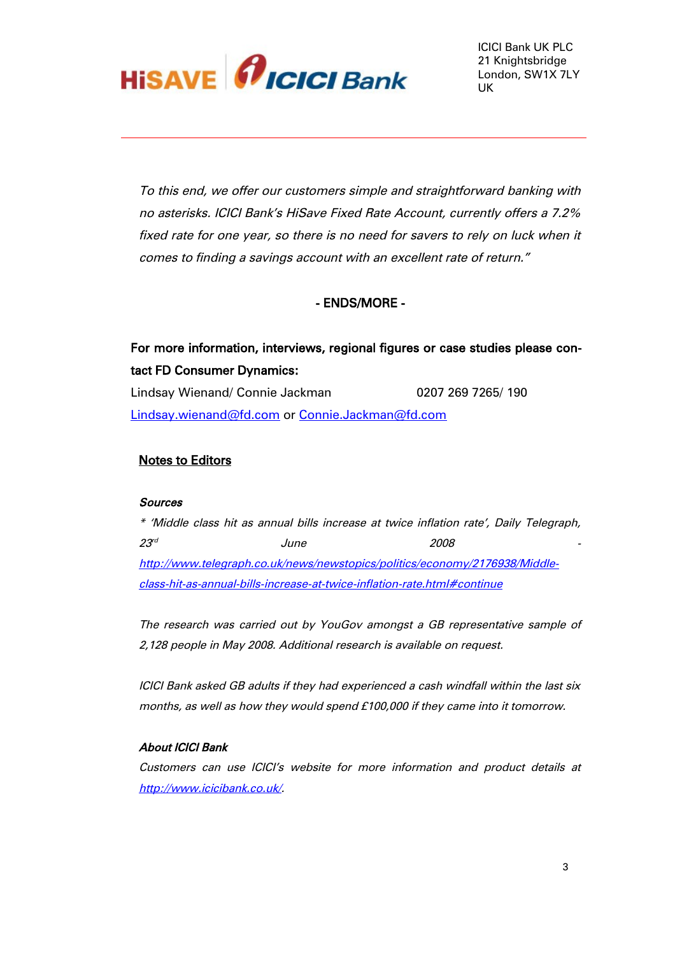

To this end, we offer our customers simple and straightforward banking with no asterisks. ICICI Bank's HiSave Fixed Rate Account, currently offers a 7.2% fixed rate for one year, so there is no need for savers to rely on luck when it comes to finding a savings account with an excellent rate of return."

# - ENDS/MORE -

# For more information, interviews, regional figures or case studies please contact FD Consumer Dynamics:

Lindsay Wienand/ Connie Jackman 0207 269 7265/ 190 [Lindsay.wienand@fd.com](mailto:Lindsay.wienand@fd.com) or [Connie.Jackman@fd.com](mailto:Connie.Jackman@fd.com)

#### Notes to Editors

#### **Sources**

\* 'Middle class hit as annual bills increase at twice inflation rate', Daily Telegraph,  $23^{\circ}$  June 2008 [http://www.telegraph.co.uk/news/newstopics/politics/economy/2176938/Middle](http://www.telegraph.co.uk/news/newstopics/politics/economy/2176938/Middle-class-hit-as-annual-bills-increase-at-twice-inflation-rate.html#continue)[class-hit-as-annual-bills-increase-at-twice-inflation-rate.html#continue](http://www.telegraph.co.uk/news/newstopics/politics/economy/2176938/Middle-class-hit-as-annual-bills-increase-at-twice-inflation-rate.html#continue)

The research was carried out by YouGov amongst a GB representative sample of 2,128 people in May 2008. Additional research is available on request.

ICICI Bank asked GB adults if they had experienced a cash windfall within the last six months, as well as how they would spend £100,000 if they came into it tomorrow.

#### About ICICI Bank

Customers can use ICICI's website for more information and product details at <http://www.icicibank.co.uk/>.